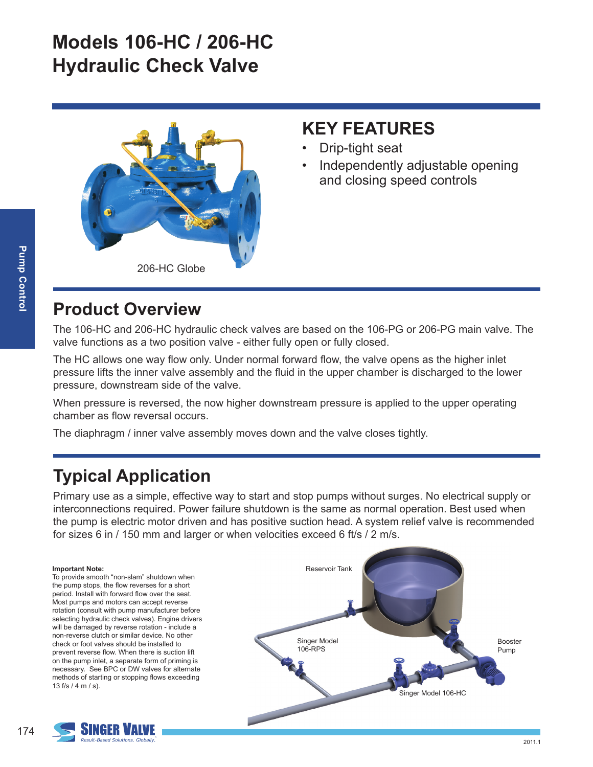# **Models 106-HC / 206-HC Hydraulic Check Valve**



#### **KEY FEATURES**

- Drip-tight seat
- Independently adjustable opening and closing speed controls

#### **Product Overview**

The 106-HC and 206-HC hydraulic check valves are based on the 106-PG or 206-PG main valve. The valve functions as a two position valve - either fully open or fully closed.

The HC allows one way flow only. Under normal forward flow, the valve opens as the higher inlet pressure lifts the inner valve assembly and the fluid in the upper chamber is discharged to the lower pressure, downstream side of the valve.

When pressure is reversed, the now higher downstream pressure is applied to the upper operating chamber as flow reversal occurs.

The diaphragm / inner valve assembly moves down and the valve closes tightly.

## **Typical Application**

Primary use as a simple, effective way to start and stop pumps without surges. No electrical supply or interconnections required. Power failure shutdown is the same as normal operation. Best used when the pump is electric motor driven and has positive suction head. A system relief valve is recommended for sizes 6 in / 150 mm and larger or when velocities exceed 6 ft/s / 2 m/s.

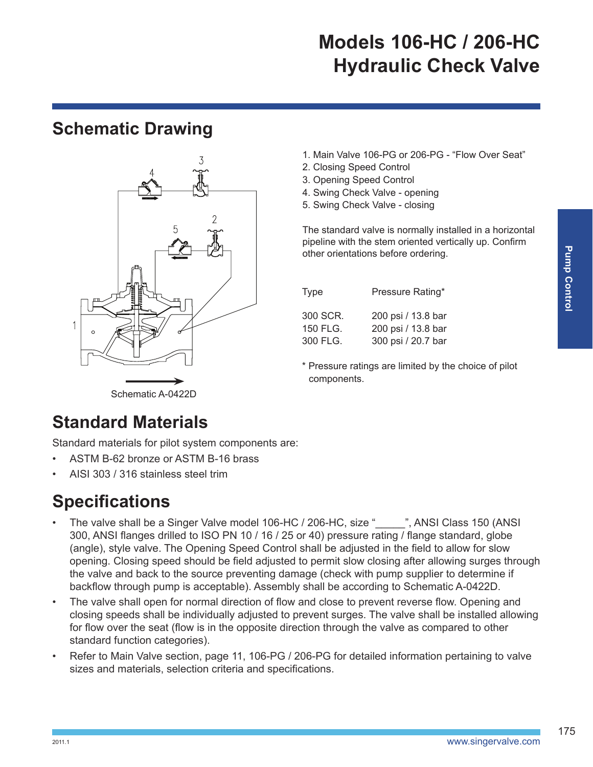# **Models 106-HC / 206-HC Hydraulic Check Valve**

#### **Schematic Drawing**



- 1. Main Valve 106-PG or 206-PG "Flow Over Seat"
- 2. Closing Speed Control
- 3. Opening Speed Control
- 4. Swing Check Valve opening
- 5. Swing Check Valve closing

The standard valve is normally installed in a horizontal pipeline with the stem oriented vertically up. Confirm other orientations before ordering.

| Type     | Pressure Rating*   |
|----------|--------------------|
| 300 SCR. | 200 psi / 13.8 bar |
| 150 FLG. | 200 psi / 13.8 bar |
| 300 FLG. | 300 psi / 20.7 bar |

\* Pressure ratings are limited by the choice of pilot components.

Schematic A-0422D

## **Standard Materials**

Standard materials for pilot system components are:

- ASTM B-62 bronze or ASTM B-16 brass
- AISI 303 / 316 stainless steel trim

## **Specifications**

- The valve shall be a Singer Valve model 106-HC / 206-HC, size "\_\_\_\_", ANSI Class 150 (ANSI 300, ANSI flanges drilled to ISO PN 10 / 16 / 25 or 40) pressure rating / flange standard, globe (angle), style valve. The Opening Speed Control shall be adjusted in the field to allow for slow opening. Closing speed should be field adjusted to permit slow closing after allowing surges through the valve and back to the source preventing damage (check with pump supplier to determine if backflow through pump is acceptable). Assembly shall be according to Schematic A-0422D.
- The valve shall open for normal direction of flow and close to prevent reverse flow. Opening and closing speeds shall be individually adjusted to prevent surges. The valve shall be installed allowing for flow over the seat (flow is in the opposite direction through the valve as compared to other standard function categories).
- Refer to Main Valve section, page 11, 106-PG / 206-PG for detailed information pertaining to valve sizes and materials, selection criteria and specifications.